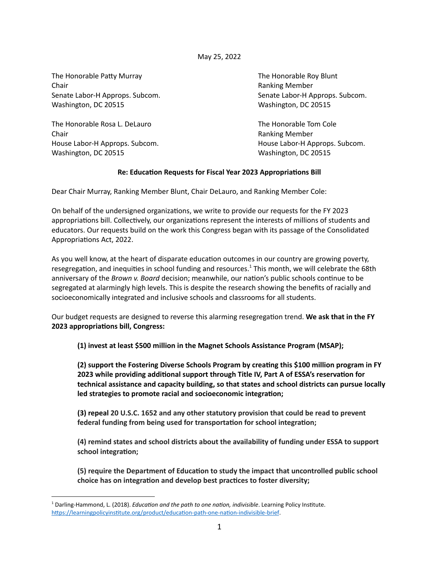May 25, 2022

The Honorable Patty Murray The Honorable Roy Blunt Chair **Chair Chair Chair Chair Chair Chair Chair Chair Chair Chair Chair Chair Chair Chair Chair Chair Chair Chair Chair Chair Chair Chair Chair Chair Chair Chair Chair** Senate Labor-H Approps. Subcom. Senate Labor-H Approps. Subcom. Washington, DC 20515 Washington, DC 20515

The Honorable Rosa L. DeLauro New York Cole The Honorable Tom Cole Chair Ranking Member House Labor-H Approps. Subcom. The Community of the House Labor-H Approps. Subcom. Washington, DC 20515 Washington, DC 20515

## **Re: Education Requests for Fiscal Year 2023 Appropriations Bill**

Dear Chair Murray, Ranking Member Blunt, Chair DeLauro, and Ranking Member Cole:

On behalf of the undersigned organizations, we write to provide our requests for the FY 2023 appropriations bill. Collectively, our organizations represent the interests of millions of students and educators. Our requests build on the work this Congress began with its passage of the Consolidated Appropriations Act, 2022.

As you well know, at the heart of disparate education outcomes in our country are growing poverty, resegregation, and inequities in school funding and resources.<sup>1</sup> This month, we will celebrate the 68th anniversary of the *Brown v. Board* decision; meanwhile, our nation's public schools continue to be segregated at alarmingly high levels. This is despite the research showing the benefits of racially and socioeconomically integrated and inclusive schools and classrooms for all students.

Our budget requests are designed to reverse this alarming resegregation trend. We ask that in the FY **2023** appropriations bill, Congress:

**(1) invest at least \$500 million in the Magnet Schools Assistance Program (MSAP);**

**(2) support the Fostering Diverse Schools Program by creang this \$100 million program in FY 2023** while providing additional support through Title IV, Part A of ESSA's reservation for **technical assistance and capacity building, so that states and school districts can pursue locally led** strategies to promote racial and socioeconomic integration;

**(3) repeal 20 U.S.C. 1652 and any other statutory provision that could be read to prevent federal funding from being used for transportation for school integration;** 

**(4) remind states and school districts about the availability of funding under ESSA to support** school integration;

**(5) require the Department of Educaon to study the impact that uncontrolled public school choice** has on integration and develop best practices to foster diversity;

<sup>&</sup>lt;sup>1</sup> Darling-Hammond, L. (2018). *Education and the path to one nation, indivisible*. Learning Policy Institute. https://learningpolicyinstitute.org/product/education-path-one-nation-indivisible-brief.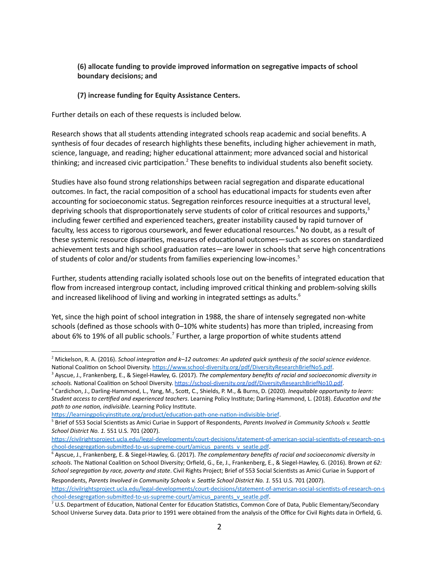## **(6) allocate funding to provide improved informaon on segregave impacts of school boundary decisions; and**

## **(7) increase funding for Equity Assistance Centers.**

Further details on each of these requests is included below.

Research shows that all students attending integrated schools reap academic and social benefits. A synthesis of four decades of research highlights these benefits, including higher achievement in math, science, language, and reading; higher educational attainment; more advanced social and historical thinking; and increased civic participation.<sup>2</sup> These benefits to individual students also benefit society.

Studies have also found strong relationships between racial segregation and disparate educational outcomes. In fact, the racial composition of a school has educational impacts for students even after accounting for socioeconomic status. Segregation reinforces resource inequities at a structural level, depriving schools that disproportionately serve students of color of critical resources and supports, $3$ including fewer cerfied and experienced teachers, greater instability caused by rapid turnover of faculty, less access to rigorous coursework, and fewer educational resources.<sup>4</sup> No doubt, as a result of these systemic resource disparities, measures of educational outcomes—such as scores on standardized achievement tests and high school graduation rates—are lower in schools that serve high concentrations of students of color and/or students from families experiencing low-incomes.<sup>5</sup>

Further, students attending racially isolated schools lose out on the benefits of integrated education that flow from increased intergroup contact, including improved critical thinking and problem-solving skills and increased likelihood of living and working in integrated settings as adults.<sup>6</sup>

Yet, since the high point of school integration in 1988, the share of intensely segregated non-white schools (defined as those schools with 0–10% white students) has more than tripled, increasing from about 6% to 19% of all public schools.<sup>7</sup> Further, a large proportion of white students attend

https://learningpolicyinstitute.org/product/education-path-one-nation-indivisible-brief.

<sup>&</sup>lt;sup>2</sup> Mickelson, R. A. (2016). School integration and k-12 outcomes: An updated quick synthesis of the social science evidence. National Coalition on School Diversity. https://www.school-diversity.org/pdf/DiversityResearchBriefNo5.pdf.

<sup>3</sup> Ayscue, J., Frankenberg, E., & Siegel-Hawley, G. (2017). *The complementary benefits of racial and socioeconomic diversity in* schools. National Coalition on School Diversity. https://school-diversity.org/pdf/DiversityResearchBriefNo10.pdf.

<sup>&</sup>lt;sup>4</sup> Cardichon, J., Darling-Hammond, L., Yang, M., Scott, C., Shields, P. M., & Burns, D. (2020). *Inequitable opportunity to learn: Student access to certified and experienced teachers*. Learning Policy Institute; Darling-Hammond, L. (2018). *Education and the* path to one nation, indivisible. Learning Policy Institute.

<sup>&</sup>lt;sup>5</sup> Brief of 553 Social Scientists as Amici Curiae in Support of Respondents, *Parents Involved in Community Schools v. Seattle School District No. 1.* 551 U.S. 701 (2007).

https://civilrightsproject.ucla.edu/legal-developments/court-decisions/statement-of-american-social-scientists-of-research-on-s chool-desegregation-submitted-to-us-supreme-court/amicus\_parents\_v\_seatle.pdf.

<sup>6</sup> Ayscue, J., Frankenberg, E. & Siegel-Hawley, G. (2017). *The complementary benefits of racial and socioeconomic diversity in* schools. The National Coalition on School Diversity; Orfield, G., Ee, J., Frankenberg, E., & Siegel-Hawley, G. (2016). Brown at 62: *School segregation by race, poverty and state*. Civil Rights Project; Brief of 553 Social Scientists as Amici Curiae in Support of

Respondents, Parents Involved in Community Schools v. Seattle School District No. 1. 551 U.S. 701 (2007). https://civilrightsproject.ucla.edu/legal-developments/court-decisions/statement-of-american-social-scientists-of-research-on-s chool-desegregation-submitted-to-us-supreme-court/amicus\_parents\_v\_seatle.pdf.

 $7$  U.S. Department of Education, National Center for Education Statistics, Common Core of Data, Public Elementary/Secondary School Universe Survey data. Data prior to 1991 were obtained from the analysis of the Office for Civil Rights data in Orfield, G.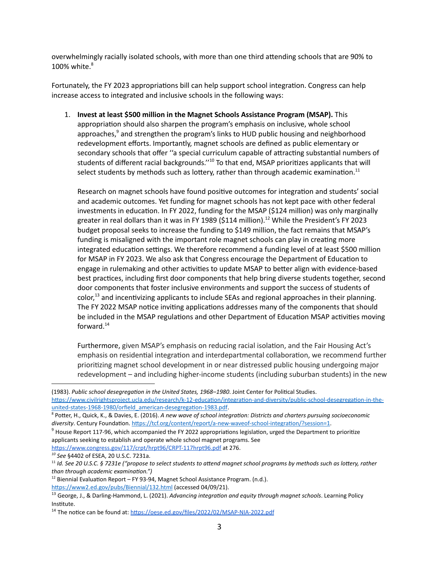overwhelmingly racially isolated schools, with more than one third attending schools that are 90% to 100% white. 8

Fortunately, the FY 2023 appropriations bill can help support school integration. Congress can help increase access to integrated and inclusive schools in the following ways:

1. **Invest at least \$500 million in the Magnet Schools Assistance Program (MSAP).** This appropriation should also sharpen the program's emphasis on inclusive, whole school approaches,<sup>9</sup> and strengthen the program's links to HUD public housing and neighborhood redevelopment efforts. Importantly, magnet schools are defined as public elementary or secondary schools that offer "a special curriculum capable of attracting substantial numbers of students of different racial backgrounds."<sup>10</sup> To that end, MSAP prioritizes applicants that will select students by methods such as lottery, rather than through academic examination.<sup>11</sup>

Research on magnet schools have found positive outcomes for integration and students' social and academic outcomes. Yet funding for magnet schools has not kept pace with other federal investments in education. In FY 2022, funding for the MSAP (\$124 million) was only marginally greater in real dollars than it was in FY 1989 (\$114 million). <sup>12</sup> While the President's FY 2023 budget proposal seeks to increase the funding to \$149 million, the fact remains that MSAP's funding is misaligned with the important role magnet schools can play in creating more integrated education settings. We therefore recommend a funding level of at least \$500 million for MSAP in FY 2023. We also ask that Congress encourage the Department of Education to engage in rulemaking and other activities to update MSAP to better align with evidence-based best practices, including first door components that help bring diverse students together, second door components that foster inclusive environments and support the success of students of color,<sup>13</sup> and incentivizing applicants to include SEAs and regional approaches in their planning. The FY 2022 MSAP notice inviting applications addresses many of the components that should be included in the MSAP regulations and other Department of Education MSAP activities moving forward.<sup>14</sup>

Furthermore, given MSAP's emphasis on reducing racial isolation, and the Fair Housing Act's emphasis on residential integration and interdepartmental collaboration, we recommend further prioritizing magnet school development in or near distressed public housing undergoing major redevelopment – and including higher-income students (including suburban students) in the new

(1983). Public school desegregation in the United States, 1968-1980. Joint Center for Political Studies.

https://www.civilrightsproject.ucla.edu/research/k-12-education/integration-and-diversity/public-school-desegregation-in-theunited-states-1968-1980/orfield\_american-desegregation-1983.pdf.

https://www.congress.gov/117/crpt/hrpt96/CRPT-117hrpt96.pdf at 276.

*<sup>10</sup> See* §4402 of ESEA, 20 U.S.C. 7231a.

https://www2.ed.gov/pubs/Biennial/132.html (accessed 04/09/21).

<sup>8</sup> Potter, H., Quick, K., & Davies, E. (2016). A new wave of school integration: Districts and charters pursuing socioeconomic diversity. Century Foundation. https://tcf.org/content/report/a-new-waveof-school-integration/?session=1.

 $9$  House Report 117-96, which accompanied the FY 2022 appropriations legislation, urged the Department to prioritize applicants seeking to establish and operate whole school magnet programs. See

<sup>&</sup>lt;sup>11</sup> Id. See 20 U.S.C. § 7231e ("propose to select students to attend magnet school programs by methods such as lottery, rather *than through academic examination."*)

 $12$  Biennial Evaluation Report – FY 93-94, Magnet School Assistance Program. (n.d.).

<sup>&</sup>lt;sup>13</sup> George, J., & Darling-Hammond, L. (2021). *Advancing integration and equity through magnet schools*. Learning Policy Institute.

<sup>&</sup>lt;sup>14</sup> The notice can be found at: https://oese.ed.gov/files/2022/02/MSAP-NIA-2022.pdf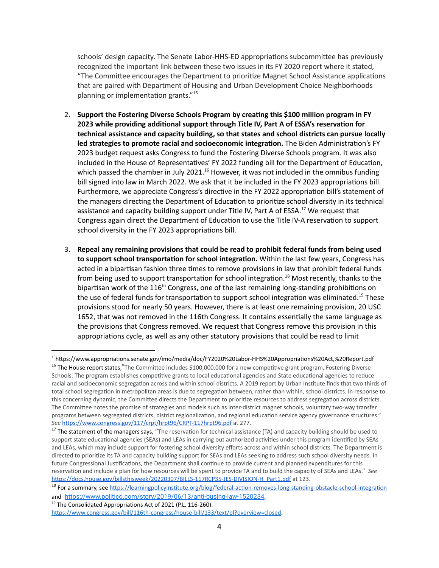schools' design capacity. The Senate Labor-HHS-ED appropriations subcommittee has previously recognized the important link between these two issues in its FY 2020 report where it stated, "The Committee encourages the Department to prioritize Magnet School Assistance applications that are paired with Department of Housing and Urban Development Choice Neighborhoods planning or implementation grants."<sup>15</sup>

- 2. **Support the Fostering Diverse Schools Program by creang this \$100 million program in FY 2023** while providing additional support through Title IV, Part A of ESSA's reservation for **technical assistance and capacity building, so that states and school districts can pursue locally led strategies to promote racial and socioeconomic integration. The Biden Administration's FY** 2023 budget request asks Congress to fund the Fostering Diverse Schools program. It was also included in the House of Representatives' FY 2022 funding bill for the Department of Education, which passed the chamber in July 2021.<sup>16</sup> However, it was not included in the omnibus funding bill signed into law in March 2022. We ask that it be included in the FY 2023 appropriations bill. Furthermore, we appreciate Congress's directive in the FY 2022 appropriation bill's statement of the managers directing the Department of Education to prioritize school diversity in its technical assistance and capacity building support under Title IV, Part A of ESSA.<sup>17</sup> We request that Congress again direct the Department of Education to use the Title IV-A reservation to support school diversity in the FY 2023 appropriations bill.
- 3. **Repeal any remaining provisions that could be read to prohibit federal funds from being used to support school transportation for school integration.** Within the last few years, Congress has acted in a bipartisan fashion three times to remove provisions in law that prohibit federal funds from being used to support transportation for school integration.<sup>18</sup> Most recently, thanks to the bipartisan work of the 116<sup>th</sup> Congress, one of the last remaining long-standing prohibitions on the use of federal funds for transportation to support school integration was eliminated.<sup>19</sup> These provisions stood for nearly 50 years. However, there is at least one remaining provision, 20 USC 1652, that was not removed in the 116th Congress. It contains essentially the same language as the provisions that Congress removed. We request that Congress remove this provision in this appropriations cycle, as well as any other statutory provisions that could be read to limit

<sup>&</sup>lt;sup>15</sup>https://www.appropriations.senate.gov/imo/media/doc/FY2020%20Labor-HHS%20Appropriations%20Act,%20Report.pdf

<sup>&</sup>lt;sup>16</sup> The House report states. "The Committee includes \$100,000,000 for a new competitive grant program, Fostering Diverse Schools. The program establishes competitive grants to local educational agencies and State educational agencies to reduce racial and socioeconomic segregation across and within school districts. A 2019 report by Urban Institute finds that two thirds of total school segregation in metropolitan areas is due to segregation between, rather than within, school districts. In response to this concerning dynamic, the Committee directs the Department to prioritize resources to address segregation across districts. The Committee notes the promise of strategies and models such as inter-district magnet schools, voluntary two-way transfer programs between segregated districts, district regionalization, and regional education service agency governance structures." See https://www.congress.gov/117/crpt/hrpt96/CRPT-117hrpt96.pdf at 277.

<sup>&</sup>lt;sup>17</sup> The statement of the managers says, "The reservation for technical assistance (TA) and capacity building should be used to support state educational agencies (SEAs) and LEAs in carrying out authorized activities under this program identified by SEAs and LEAs, which may include support for fostering school diversity efforts across and within school districts. The Department is directed to prioritize its TA and capacity building support for SEAs and LEAs seeking to address such school diversity needs. In future Congressional Justifications, the Department shall continue to provide current and planned expenditures for this reservation and include a plan for how resources will be spent to provide TA and to build the capacity of SEAs and LEAs." See https://docs.house.gov/billsthisweek/20220307/BILLS-117RCP35-JES-DIVISION-H\_Part1.pdf at 123.

<sup>&</sup>lt;sup>18</sup> For a summary, see https://learningpolicyinstitute.org/blog/federal-action-removes-long-standing-obstacle-school-integration and <https://www.politico.com/story/2019/06/13/anti-busing-law-1520234>.

 $19$  The Consolidated Appropriations Act of 2021 (P.L. 116-260).

https://www.congress.gov/bill/116th-congress/house-bill/133/text/pl?overview=closed.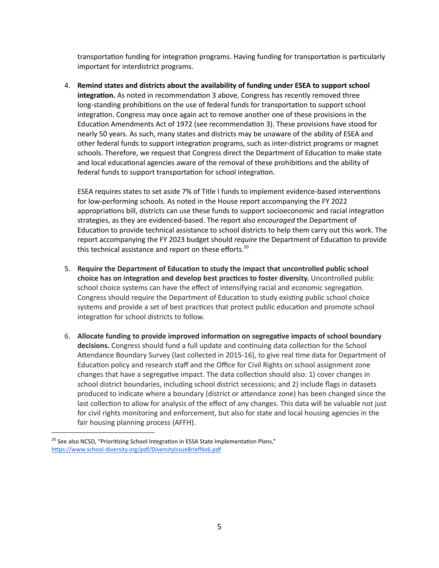transportation funding for integration programs. Having funding for transportation is particularly important for interdistrict programs.

4. **Remind states and districts about the availability of funding under ESEA to support school integration.** As noted in recommendation 3 above, Congress has recently removed three long-standing prohibitions on the use of federal funds for transportation to support school integration. Congress may once again act to remove another one of these provisions in the Education Amendments Act of 1972 (see recommendation 3). These provisions have stood for nearly 50 years. As such, many states and districts may be unaware of the ability of ESEA and other federal funds to support integration programs, such as inter-district programs or magnet schools. Therefore, we request that Congress direct the Department of Education to make state and local educational agencies aware of the removal of these prohibitions and the ability of federal funds to support transportation for school integration.

ESEA requires states to set aside 7% of Title I funds to implement evidence-based interventions for low-performing schools. As noted in the House report accompanying the FY 2022 appropriations bill, districts can use these funds to support socioeconomic and racial integration strategies, as they are evidenced-based. The report also *encouraged* the Department of Education to provide technical assistance to school districts to help them carry out this work. The report accompanying the FY 2023 budget should *require* the Department of Education to provide this technical assistance and report on these efforts.<sup>20</sup>

- 5. **Require the Department of Educaon to study the impact that uncontrolled public school choice** has on integration and develop best practices to foster diversity. Uncontrolled public school choice systems can have the effect of intensifying racial and economic segregation. Congress should require the Department of Education to study existing public school choice systems and provide a set of best practices that protect public education and promote school integration for school districts to follow.
- 6. **Allocate funding to provide improved informaon on segregave impacts of school boundary** decisions. Congress should fund a full update and continuing data collection for the School Attendance Boundary Survey (last collected in 2015-16), to give real time data for Department of Education policy and research staff and the Office for Civil Rights on school assignment zone changes that have a segregative impact. The data collection should also: 1) cover changes in school district boundaries, including school district secessions; and 2) include flags in datasets produced to indicate where a boundary (district or attendance zone) has been changed since the last collection to allow for analysis of the effect of any changes. This data will be valuable not just for civil rights monitoring and enforcement, but also for state and local housing agencies in the fair housing planning process (AFFH).

 $20$  See also NCSD, "Prioritizing School Integration in ESSA State Implementation Plans," https://www.school-diversity.org/pdf/DiversityIssueBriefNo6.pdf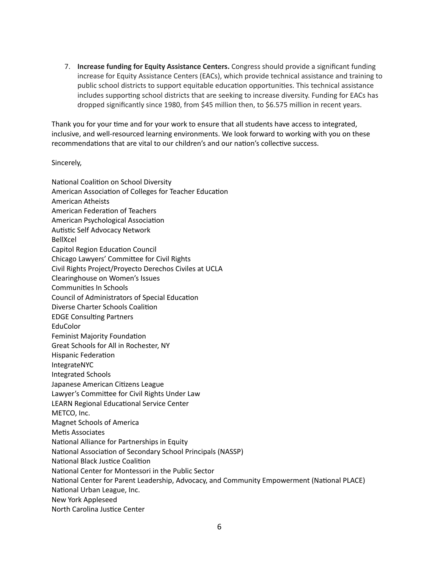7. **Increase funding for Equity Assistance Centers.** Congress should provide a significant funding increase for Equity Assistance Centers (EACs), which provide technical assistance and training to public school districts to support equitable education opportunities. This technical assistance includes supporting school districts that are seeking to increase diversity. Funding for EACs has dropped significantly since 1980, from \$45 million then, to \$6.575 million in recent years.

Thank you for your time and for your work to ensure that all students have access to integrated, inclusive, and well-resourced learning environments. We look forward to working with you on these recommendations that are vital to our children's and our nation's collective success.

Sincerely,

National Coalition on School Diversity American Association of Colleges for Teacher Education American Atheists American Federation of Teachers American Psychological Association Autistic Self Advocacy Network BellXcel Capitol Region Education Council Chicago Lawyers' Committee for Civil Rights Civil Rights Project/Proyecto Derechos Civiles at UCLA Clearinghouse on Women's Issues Communities In Schools Council of Administrators of Special Education Diverse Charter Schools Coalition **EDGE Consulting Partners** EduColor Feminist Majority Foundation Great Schools for All in Rochester, NY Hispanic Federation IntegrateNYC Integrated Schools Japanese American Citizens League Lawyer's Committee for Civil Rights Under Law LEARN Regional Educational Service Center METCO, Inc. Magnet Schools of America Metis Associates National Alliance for Partnerships in Equity National Association of Secondary School Principals (NASSP) National Black Justice Coalition National Center for Montessori in the Public Sector National Center for Parent Leadership, Advocacy, and Community Empowerment (National PLACE) National Urban League, Inc. New York Appleseed North Carolina Justice Center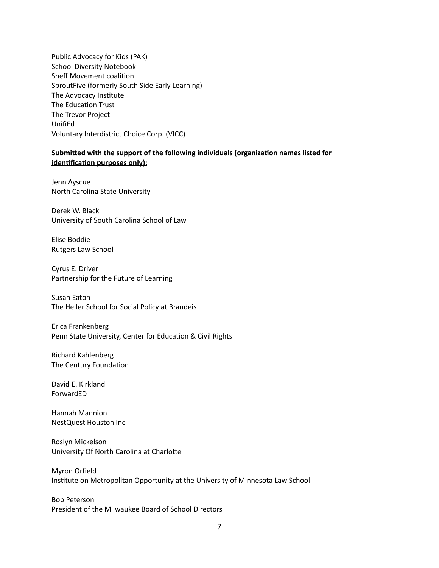Public Advocacy for Kids (PAK) School Diversity Notebook Sheff Movement coalition SproutFive (formerly South Side Early Learning) The Advocacy Institute The Education Trust The Trevor Project UnifiEd Voluntary Interdistrict Choice Corp. (VICC)

## **Submied with the support of the following individuals (organizaon names listed for identification purposes only):**

Jenn Ayscue North Carolina State University

Derek W. Black University of South Carolina School of Law

Elise Boddie Rutgers Law School

Cyrus E. Driver Partnership for the Future of Learning

Susan Eaton The Heller School for Social Policy at Brandeis

Erica Frankenberg Penn State University, Center for Education & Civil Rights

Richard Kahlenberg The Century Foundation

David E. Kirkland ForwardED

Hannah Mannion NestQuest Houston Inc

Roslyn Mickelson University Of North Carolina at Charlotte

Myron Orfield Institute on Metropolitan Opportunity at the University of Minnesota Law School

Bob Peterson President of the Milwaukee Board of School Directors